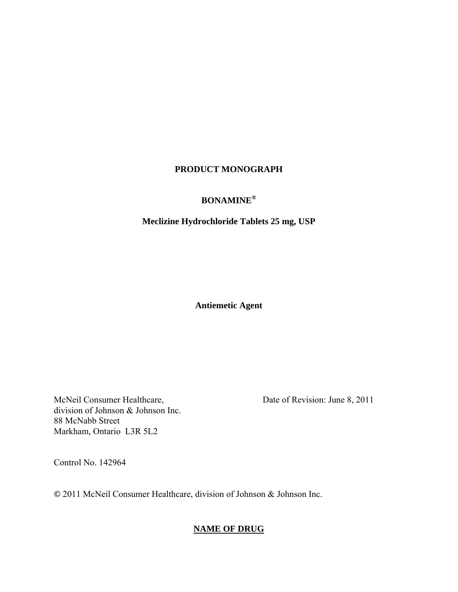# **PRODUCT MONOGRAPH**

# **BONAMINE®**

# **Meclizine Hydrochloride Tablets 25 mg, USP**

**Antiemetic Agent** 

McNeil Consumer Healthcare, division of Johnson & Johnson Inc. 88 McNabb Street Markham, Ontario L3R 5L2

Date of Revision: June 8, 2011

Control No. 142964

**©** 2011 McNeil Consumer Healthcare, division of Johnson & Johnson Inc.

# **NAME OF DRUG**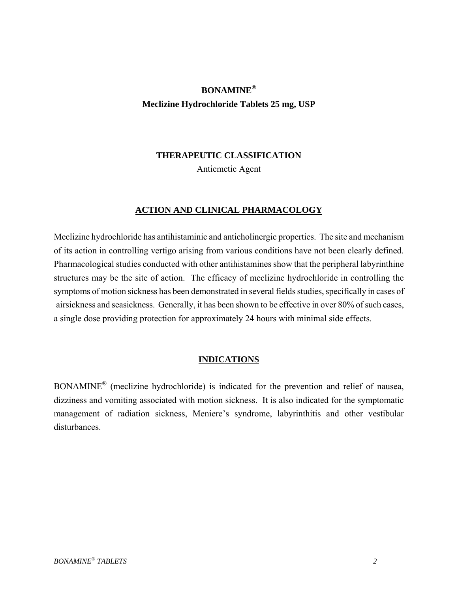# **BONAMINE® Meclizine Hydrochloride Tablets 25 mg, USP**

# **THERAPEUTIC CLASSIFICATION**

Antiemetic Agent

# **ACTION AND CLINICAL PHARMACOLOGY**

Meclizine hydrochloride has antihistaminic and anticholinergic properties. The site and mechanism of its action in controlling vertigo arising from various conditions have not been clearly defined. Pharmacological studies conducted with other antihistamines show that the peripheral labyrinthine structures may be the site of action. The efficacy of meclizine hydrochloride in controlling the symptoms of motion sickness has been demonstrated in several fields studies, specifically in cases of airsickness and seasickness. Generally, it has been shown to be effective in over 80% of such cases, a single dose providing protection for approximately 24 hours with minimal side effects.

# **INDICATIONS**

BONAMINE® (meclizine hydrochloride) is indicated for the prevention and relief of nausea, dizziness and vomiting associated with motion sickness. It is also indicated for the symptomatic management of radiation sickness, Meniere's syndrome, labyrinthitis and other vestibular disturbances.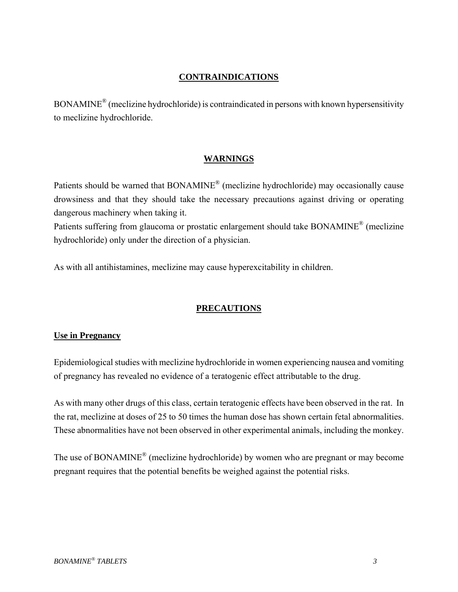#### **CONTRAINDICATIONS**

BONAMINE® (meclizine hydrochloride) is contraindicated in persons with known hypersensitivity to meclizine hydrochloride.

# **WARNINGS**

Patients should be warned that BONAMINE® (meclizine hydrochloride) may occasionally cause drowsiness and that they should take the necessary precautions against driving or operating dangerous machinery when taking it.

Patients suffering from glaucoma or prostatic enlargement should take BONAMINE® (meclizine hydrochloride) only under the direction of a physician.

As with all antihistamines, meclizine may cause hyperexcitability in children.

# **PRECAUTIONS**

# **Use in Pregnancy**

Epidemiological studies with meclizine hydrochloride in women experiencing nausea and vomiting of pregnancy has revealed no evidence of a teratogenic effect attributable to the drug.

As with many other drugs of this class, certain teratogenic effects have been observed in the rat. In the rat, meclizine at doses of 25 to 50 times the human dose has shown certain fetal abnormalities. These abnormalities have not been observed in other experimental animals, including the monkey.

The use of BONAMINE® (meclizine hydrochloride) by women who are pregnant or may become pregnant requires that the potential benefits be weighed against the potential risks.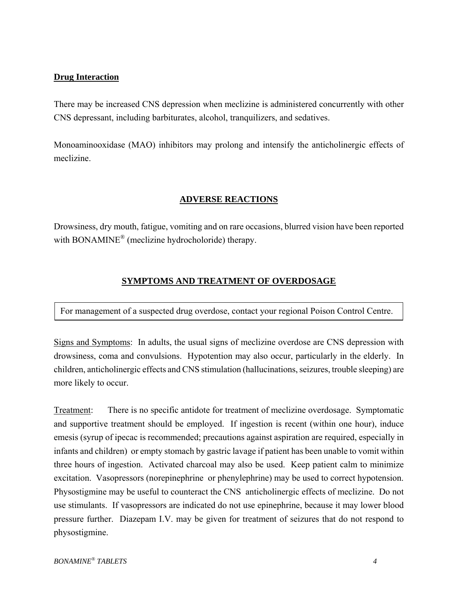# **Drug Interaction**

There may be increased CNS depression when meclizine is administered concurrently with other CNS depressant, including barbiturates, alcohol, tranquilizers, and sedatives.

Monoaminooxidase (MAO) inhibitors may prolong and intensify the anticholinergic effects of meclizine.

# **ADVERSE REACTIONS**

Drowsiness, dry mouth, fatigue, vomiting and on rare occasions, blurred vision have been reported with BONAMINE<sup>®</sup> (meclizine hydrocholoride) therapy.

# **SYMPTOMS AND TREATMENT OF OVERDOSAGE**

For management of a suspected drug overdose, contact your regional Poison Control Centre.

Signs and Symptoms: In adults, the usual signs of meclizine overdose are CNS depression with drowsiness, coma and convulsions. Hypotention may also occur, particularly in the elderly. In children, anticholinergic effects and CNS stimulation (hallucinations, seizures, trouble sleeping) are more likely to occur.

Treatment: There is no specific antidote for treatment of meclizine overdosage. Symptomatic and supportive treatment should be employed. If ingestion is recent (within one hour), induce emesis (syrup of ipecac is recommended; precautions against aspiration are required, especially in infants and children) or empty stomach by gastric lavage if patient has been unable to vomit within three hours of ingestion. Activated charcoal may also be used. Keep patient calm to minimize excitation. Vasopressors (norepinephrine or phenylephrine) may be used to correct hypotension. Physostigmine may be useful to counteract the CNS anticholinergic effects of meclizine. Do not use stimulants. If vasopressors are indicated do not use epinephrine, because it may lower blood pressure further. Diazepam I.V. may be given for treatment of seizures that do not respond to physostigmine.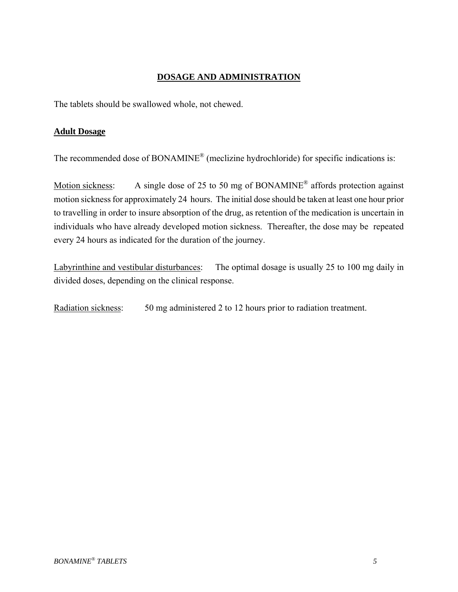# **DOSAGE AND ADMINISTRATION**

The tablets should be swallowed whole, not chewed.

# **Adult Dosage**

The recommended dose of BONAMINE<sup>®</sup> (meclizine hydrochloride) for specific indications is:

Motion sickness: A single dose of 25 to 50 mg of BONAMINE<sup>®</sup> affords protection against motion sickness for approximately 24 hours. The initial dose should be taken at least one hour prior to travelling in order to insure absorption of the drug, as retention of the medication is uncertain in individuals who have already developed motion sickness. Thereafter, the dose may be repeated every 24 hours as indicated for the duration of the journey.

Labyrinthine and vestibular disturbances: The optimal dosage is usually 25 to 100 mg daily in divided doses, depending on the clinical response.

Radiation sickness: 50 mg administered 2 to 12 hours prior to radiation treatment.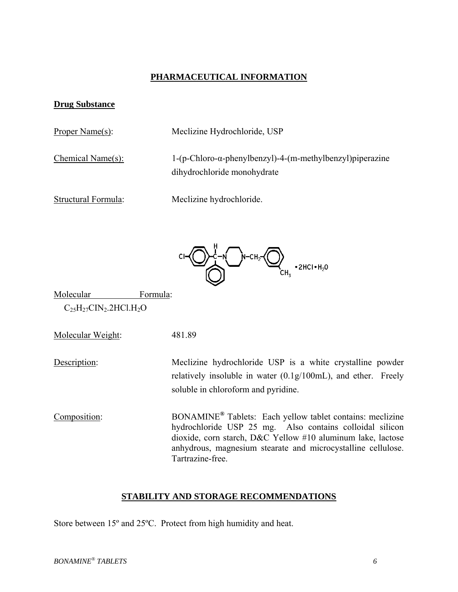# **PHARMACEUTICAL INFORMATION**

#### **Drug Substance**

Proper Name(s): Meclizine Hydrochloride, USP

Chemical Name(s): 1-(p-Chloro-α-phenylbenzyl)-4-(m-methylbenzyl)piperazine dihydrochloride monohydrate

Structural Formula: Meclizine hydrochloride.



Molecular Formula:  $C_{25}H_{27}CIN_2.2HCl.H_2O$ 

Molecular Weight: 481.89

Description: Meclizine hydrochloride USP is a white crystalline powder relatively insoluble in water (0.1g/100mL), and ether. Freely soluble in chloroform and pyridine.

Composition: BONAMINE**®** Tablets: Each yellow tablet contains: meclizine hydrochloride USP 25 mg. Also contains colloidal silicon dioxide, corn starch, D&C Yellow #10 aluminum lake, lactose anhydrous, magnesium stearate and microcystalline cellulose. Tartrazine-free.

#### **STABILITY AND STORAGE RECOMMENDATIONS**

Store between 15º and 25ºC. Protect from high humidity and heat.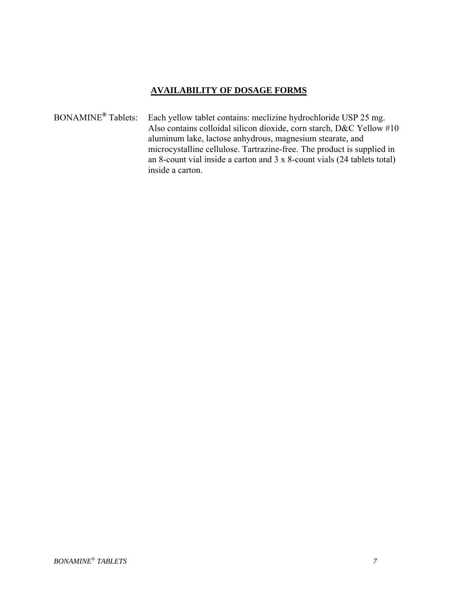# **AVAILABILITY OF DOSAGE FORMS**

BONAMINE**®** Tablets: Each yellow tablet contains: meclizine hydrochloride USP 25 mg. Also contains colloidal silicon dioxide, corn starch, D&C Yellow #10 aluminum lake, lactose anhydrous, magnesium stearate, and microcystalline cellulose. Tartrazine-free. The product is supplied in an 8-count vial inside a carton and 3 x 8-count vials (24 tablets total) inside a carton.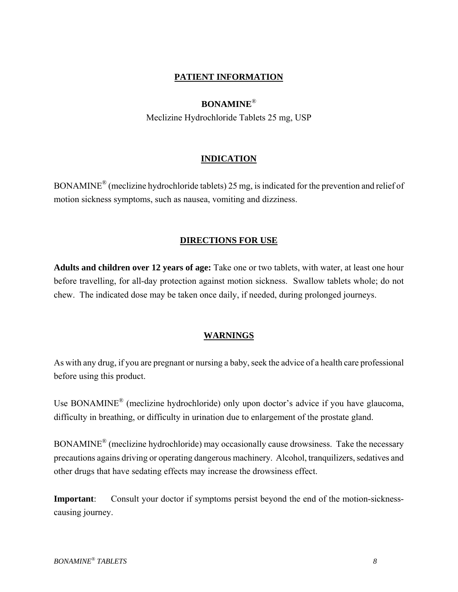# **PATIENT INFORMATION**

#### **BONAMINE**®

Meclizine Hydrochloride Tablets 25 mg, USP

#### **INDICATION**

BONAMINE® (meclizine hydrochloride tablets) 25 mg, is indicated for the prevention and relief of motion sickness symptoms, such as nausea, vomiting and dizziness.

# **DIRECTIONS FOR USE**

**Adults and children over 12 years of age:** Take one or two tablets, with water, at least one hour before travelling, for all-day protection against motion sickness. Swallow tablets whole; do not chew. The indicated dose may be taken once daily, if needed, during prolonged journeys.

#### **WARNINGS**

As with any drug, if you are pregnant or nursing a baby, seek the advice of a health care professional before using this product.

Use BONAMINE<sup>®</sup> (meclizine hydrochloride) only upon doctor's advice if you have glaucoma, difficulty in breathing, or difficulty in urination due to enlargement of the prostate gland.

BONAMINE® (meclizine hydrochloride) may occasionally cause drowsiness. Take the necessary precautions agains driving or operating dangerous machinery. Alcohol, tranquilizers, sedatives and other drugs that have sedating effects may increase the drowsiness effect.

**Important**: Consult your doctor if symptoms persist beyond the end of the motion-sicknesscausing journey.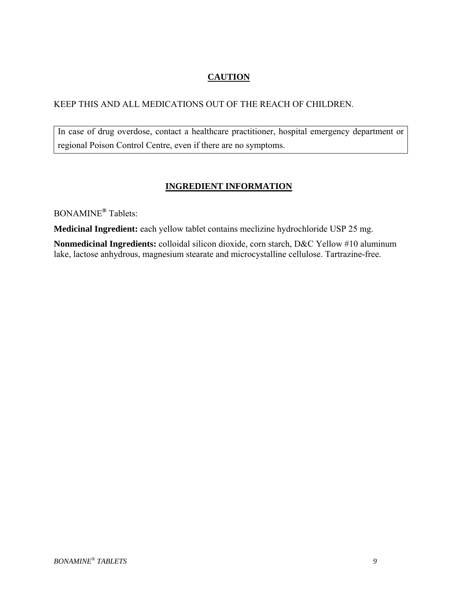# **CAUTION**

# KEEP THIS AND ALL MEDICATIONS OUT OF THE REACH OF CHILDREN.

In case of drug overdose, contact a healthcare practitioner, hospital emergency department or regional Poison Control Centre, even if there are no symptoms.

# **INGREDIENT INFORMATION**

BONAMINE**®** Tablets:

**Medicinal Ingredient:** each yellow tablet contains meclizine hydrochloride USP 25 mg.

**Nonmedicinal Ingredients:** colloidal silicon dioxide, corn starch, D&C Yellow #10 aluminum lake, lactose anhydrous, magnesium stearate and microcystalline cellulose. Tartrazine-free.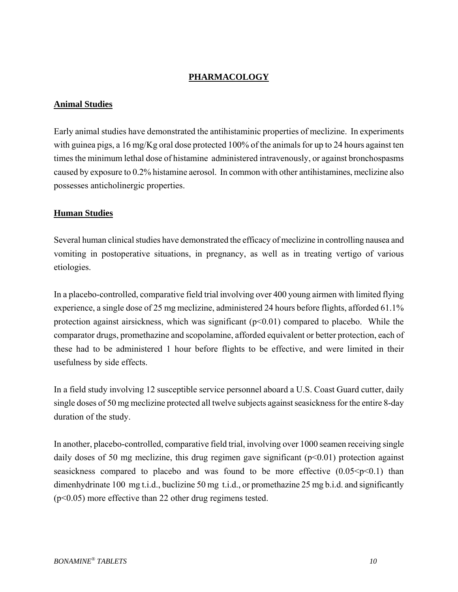# **PHARMACOLOGY**

#### **Animal Studies**

Early animal studies have demonstrated the antihistaminic properties of meclizine. In experiments with guinea pigs, a 16 mg/Kg oral dose protected 100% of the animals for up to 24 hours against ten times the minimum lethal dose of histamine administered intravenously, or against bronchospasms caused by exposure to 0.2% histamine aerosol. In common with other antihistamines, meclizine also possesses anticholinergic properties.

#### **Human Studies**

Several human clinical studies have demonstrated the efficacy of meclizine in controlling nausea and vomiting in postoperative situations, in pregnancy, as well as in treating vertigo of various etiologies.

In a placebo-controlled, comparative field trial involving over 400 young airmen with limited flying experience, a single dose of 25 mg meclizine, administered 24 hours before flights, afforded 61.1% protection against airsickness, which was significant  $(p<0.01)$  compared to placebo. While the comparator drugs, promethazine and scopolamine, afforded equivalent or better protection, each of these had to be administered 1 hour before flights to be effective, and were limited in their usefulness by side effects.

In a field study involving 12 susceptible service personnel aboard a U.S. Coast Guard cutter, daily single doses of 50 mg meclizine protected all twelve subjects against seasickness for the entire 8-day duration of the study.

In another, placebo-controlled, comparative field trial, involving over 1000 seamen receiving single daily doses of 50 mg meclizine, this drug regimen gave significant  $(p<0.01)$  protection against seasickness compared to placebo and was found to be more effective  $(0.05 \le p \le 0.1)$  than dimenhydrinate 100 mg t.i.d., buclizine 50 mg t.i.d., or promethazine 25 mg b.i.d. and significantly (p<0.05) more effective than 22 other drug regimens tested.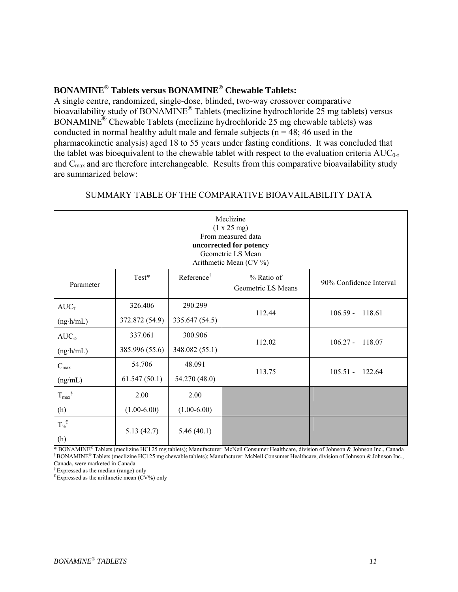# **BONAMINE® Tablets versus BONAMINE® Chewable Tablets:**

A single centre, randomized, single-dose, blinded, two-way crossover comparative bioavailability study of BONAMINE<sup>®</sup> Tablets (meclizine hydrochloride 25 mg tablets) versus BONAMINE® Chewable Tablets (meclizine hydrochloride 25 mg chewable tablets) was conducted in normal healthy adult male and female subjects ( $n = 48$ ; 46 used in the pharmacokinetic analysis) aged 18 to 55 years under fasting conditions. It was concluded that the tablet was bioequivalent to the chewable tablet with respect to the evaluation criteria  $AUC_{0-t}$ and  $C_{\text{max}}$  and are therefore interchangeable. Results from this comparative bioavailability study are summarized below:

| Meclizine<br>(1 x 25 mg)<br>From measured data<br>uncorrected for potency<br>Geometric LS Mean<br>Arithmetic Mean (CV %) |                           |                           |                                  |                         |
|--------------------------------------------------------------------------------------------------------------------------|---------------------------|---------------------------|----------------------------------|-------------------------|
| Parameter                                                                                                                | Test*                     | Reference <sup>†</sup>    | % Ratio of<br>Geometric LS Means | 90% Confidence Interval |
| $AUC_T$<br>$(ng \cdot h/mL)$                                                                                             | 326.406<br>372.872 (54.9) | 290.299<br>335.647 (54.5) | 112.44                           | $106.59 -$<br>118.61    |
| $AUC_{\infty}$<br>$(ng \cdot h/mL)$                                                                                      | 337.061<br>385.996 (55.6) | 300.906<br>348.082 (55.1) | 112.02                           | $106.27 -$<br>118.07    |
| $C_{\text{max}}$<br>(ng/mL)                                                                                              | 54.706<br>61.547(50.1)    | 48.091<br>54.270 (48.0)   | 113.75                           | $105.51 - 122.64$       |
| $T_{max}$ <sup>§</sup><br>(h)                                                                                            | 2.00<br>$(1.00-6.00)$     | 2.00<br>$(1.00-6.00)$     |                                  |                         |
| $T_{\frac{1}{2}}^{\epsilon}$<br>(h)                                                                                      | 5.13(42.7)                | 5.46(40.1)                |                                  |                         |

#### SUMMARY TABLE OF THE COMPARATIVE BIOAVAILABILITY DATA

\* BONAMINE® Tablets (meclizine HCl 25 mg tablets); Manufacturer: McNeil Consumer Healthcare, division of Johnson & Johnson Inc., Canada † BONAMINE® Tablets (meclizine HCl 25 mg chewable tablets); Manufacturer: McNeil Consumer Healthcare, division of Johnson & Johnson Inc., Canada, were marketed in Canada

§ Expressed as the median (range) only

 $^{\epsilon}$  Expressed as the arithmetic mean (CV%) only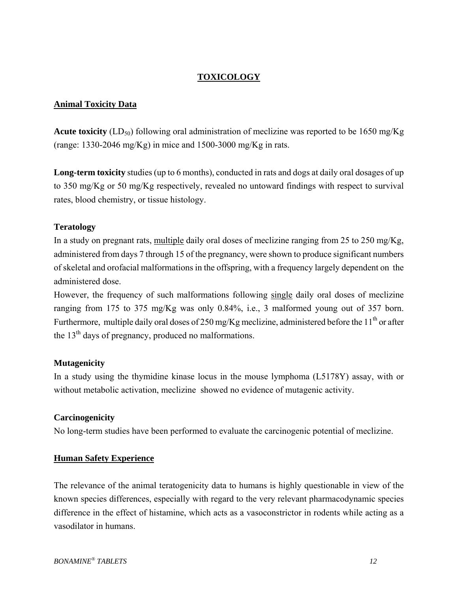# **TOXICOLOGY**

#### **Animal Toxicity Data**

**Acute toxicity** ( $LD_{50}$ ) following oral administration of meclizine was reported to be 1650 mg/Kg (range: 1330-2046 mg/Kg) in mice and 1500-3000 mg/Kg in rats.

**Long-term toxicity** studies (up to 6 months), conducted in rats and dogs at daily oral dosages of up to 350 mg/Kg or 50 mg/Kg respectively, revealed no untoward findings with respect to survival rates, blood chemistry, or tissue histology.

# **Teratology**

In a study on pregnant rats, multiple daily oral doses of meclizine ranging from 25 to 250 mg/Kg, administered from days 7 through 15 of the pregnancy, were shown to produce significant numbers of skeletal and orofacial malformations in the offspring, with a frequency largely dependent on the administered dose.

However, the frequency of such malformations following single daily oral doses of meclizine ranging from 175 to 375 mg/Kg was only 0.84%, i.e., 3 malformed young out of 357 born. Furthermore, multiple daily oral doses of 250 mg/Kg meclizine, administered before the 11<sup>th</sup> or after the  $13<sup>th</sup>$  days of pregnancy, produced no malformations.

# **Mutagenicity**

In a study using the thymidine kinase locus in the mouse lymphoma (L5178Y) assay, with or without metabolic activation, meclizine showed no evidence of mutagenic activity.

# **Carcinogenicity**

No long-term studies have been performed to evaluate the carcinogenic potential of meclizine.

# **Human Safety Experience**

The relevance of the animal teratogenicity data to humans is highly questionable in view of the known species differences, especially with regard to the very relevant pharmacodynamic species difference in the effect of histamine, which acts as a vasoconstrictor in rodents while acting as a vasodilator in humans.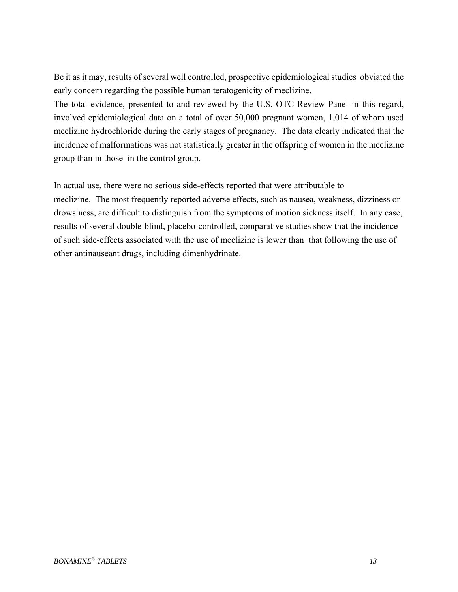Be it as it may, results of several well controlled, prospective epidemiological studies obviated the early concern regarding the possible human teratogenicity of meclizine.

The total evidence, presented to and reviewed by the U.S. OTC Review Panel in this regard, involved epidemiological data on a total of over 50,000 pregnant women, 1,014 of whom used meclizine hydrochloride during the early stages of pregnancy. The data clearly indicated that the incidence of malformations was not statistically greater in the offspring of women in the meclizine group than in those in the control group.

In actual use, there were no serious side-effects reported that were attributable to meclizine. The most frequently reported adverse effects, such as nausea, weakness, dizziness or drowsiness, are difficult to distinguish from the symptoms of motion sickness itself. In any case, results of several double-blind, placebo-controlled, comparative studies show that the incidence of such side-effects associated with the use of meclizine is lower than that following the use of other antinauseant drugs, including dimenhydrinate.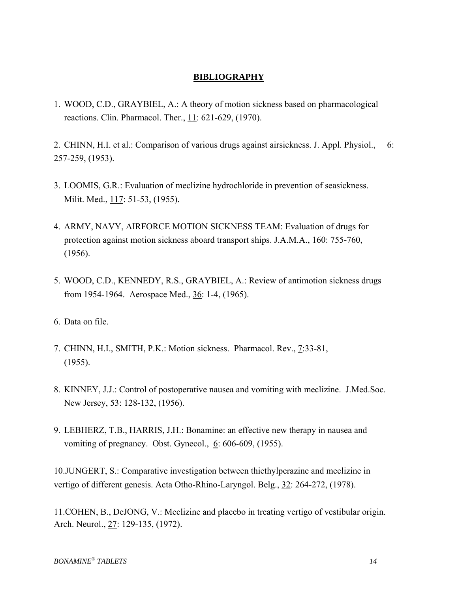# **BIBLIOGRAPHY**

- 1. WOOD, C.D., GRAYBIEL, A.: A theory of motion sickness based on pharmacological reactions. Clin. Pharmacol. Ther., 11: 621-629, (1970).
- 2. CHINN, H.I. et al.: Comparison of various drugs against airsickness. J. Appl. Physiol., 6: 257-259, (1953).
- 3. LOOMIS, G.R.: Evaluation of meclizine hydrochloride in prevention of seasickness. Milit. Med., 117: 51-53, (1955).
- 4. ARMY, NAVY, AIRFORCE MOTION SICKNESS TEAM: Evaluation of drugs for protection against motion sickness aboard transport ships. J.A.M.A., 160: 755-760, (1956).
- 5. WOOD, C.D., KENNEDY, R.S., GRAYBIEL, A.: Review of antimotion sickness drugs from 1954-1964. Aerospace Med., 36: 1-4, (1965).
- 6. Data on file.
- 7. CHINN, H.I., SMITH, P.K.: Motion sickness. Pharmacol. Rev., 7:33-81, (1955).
- 8. KINNEY, J.J.: Control of postoperative nausea and vomiting with meclizine. J.Med.Soc. New Jersey, 53: 128-132, (1956).
- 9. LEBHERZ, T.B., HARRIS, J.H.: Bonamine: an effective new therapy in nausea and vomiting of pregnancy. Obst. Gynecol., 6: 606-609, (1955).

10.JUNGERT, S.: Comparative investigation between thiethylperazine and meclizine in vertigo of different genesis. Acta Otho-Rhino-Laryngol. Belg., 32: 264-272, (1978).

11.COHEN, B., DeJONG, V.: Meclizine and placebo in treating vertigo of vestibular origin. Arch. Neurol., 27: 129-135, (1972).